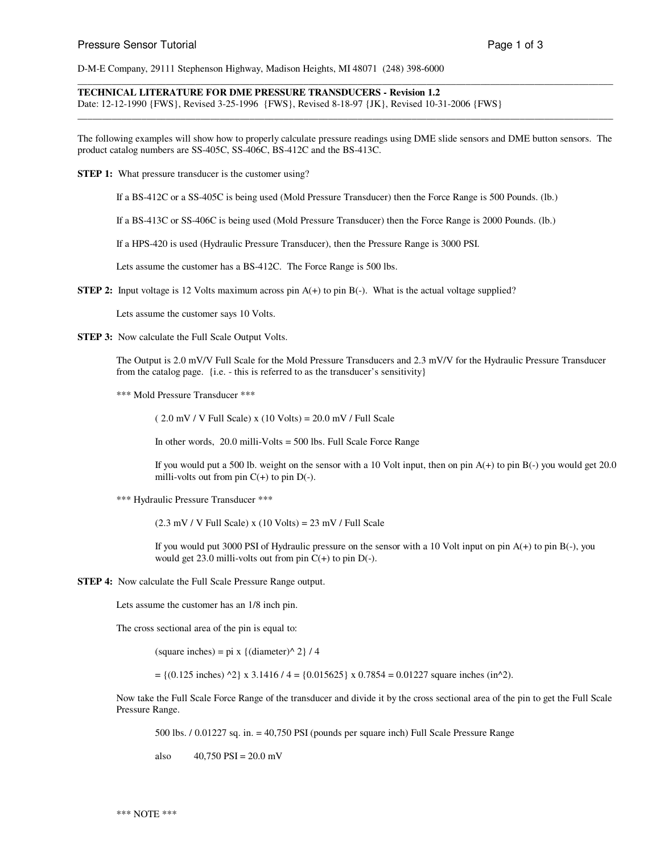D-M-E Company, 29111 Stephenson Highway, Madison Heights, MI 48071 (248) 398-6000

**TECHNICAL LITERATURE FOR DME PRESSURE TRANSDUCERS - Revision 1.2**

Date: 12-12-1990 {FWS}, Revised 3-25-1996 {FWS}, Revised 8-18-97 {JK}, Revised 10-31-2006 {FWS}

The following examples will show how to properly calculate pressure readings using DME slide sensors and DME button sensors. The product catalog numbers are SS-405C, SS-406C, BS-412C and the BS-413C.

\_\_\_\_\_\_\_\_\_\_\_\_\_\_\_\_\_\_\_\_\_\_\_\_\_\_\_\_\_\_\_\_\_\_\_\_\_\_\_\_\_\_\_\_\_\_\_\_\_\_\_\_\_\_\_\_\_\_\_\_\_\_\_\_\_\_\_\_\_\_\_\_\_\_\_\_\_\_\_\_\_\_\_\_\_\_\_\_\_\_\_\_\_\_\_\_\_\_\_\_\_\_\_\_\_\_\_\_\_

\_\_\_\_\_\_\_\_\_\_\_\_\_\_\_\_\_\_\_\_\_\_\_\_\_\_\_\_\_\_\_\_\_\_\_\_\_\_\_\_\_\_\_\_\_\_\_\_\_\_\_\_\_\_\_\_\_\_\_\_\_\_\_\_\_\_\_\_\_\_\_\_\_\_\_\_\_\_\_\_\_\_\_\_\_\_\_\_\_\_\_\_\_\_\_\_\_\_\_\_\_\_\_\_\_\_\_\_\_

**STEP 1:** What pressure transducer is the customer using?

If a BS-412C or a SS-405C is being used (Mold Pressure Transducer) then the Force Range is 500 Pounds. (lb.)

If a BS-413C or SS-406C is being used (Mold Pressure Transducer) then the Force Range is 2000 Pounds. (lb.)

If a HPS-420 is used (Hydraulic Pressure Transducer), then the Pressure Range is 3000 PSI.

Lets assume the customer has a BS-412C. The Force Range is 500 lbs.

**STEP 2:** Input voltage is 12 Volts maximum across pin A(+) to pin B(-). What is the actual voltage supplied?

Lets assume the customer says 10 Volts.

**STEP 3:** Now calculate the Full Scale Output Volts.

The Output is 2.0 mV/V Full Scale for the Mold Pressure Transducers and 2.3 mV/V for the Hydraulic Pressure Transducer from the catalog page. {i.e. - this is referred to as the transducer's sensitivity}

\*\*\* Mold Pressure Transducer \*\*\*

 $(2.0$  mV / V Full Scale) x  $(10$  Volts) =  $20.0$  mV / Full Scale

In other words, 20.0 milli-Volts = 500 lbs. Full Scale Force Range

If you would put a 500 lb. weight on the sensor with a 10 Volt input, then on pin  $A(+)$  to pin  $B(-)$  you would get 20.0 milli-volts out from pin  $C(+)$  to pin  $D(-)$ .

\*\*\* Hydraulic Pressure Transducer \*\*\*

 $(2.3 \text{ mV} / V \text{ Full Scale}) \times (10 \text{ Volts}) = 23 \text{ mV} / \text{Full Scale}$ 

If you would put 3000 PSI of Hydraulic pressure on the sensor with a 10 Volt input on pin A(+) to pin B(-), you would get 23.0 milli-volts out from pin  $C(+)$  to pin  $D(-)$ .

**STEP 4:** Now calculate the Full Scale Pressure Range output.

Lets assume the customer has an 1/8 inch pin.

The cross sectional area of the pin is equal to:

(square inches) = pi x {(diameter)^ 2} / 4

 $= \{(0.125 \text{ inches})^2 \times 3.1416 / 4 = \{0.015625\} \times 0.7854 = 0.01227 \text{ square inches (in}^2). \}$ 

Now take the Full Scale Force Range of the transducer and divide it by the cross sectional area of the pin to get the Full Scale Pressure Range.

500 lbs. / 0.01227 sq. in. = 40,750 PSI (pounds per square inch) Full Scale Pressure Range

also  $40,750$  PSI = 20.0 mV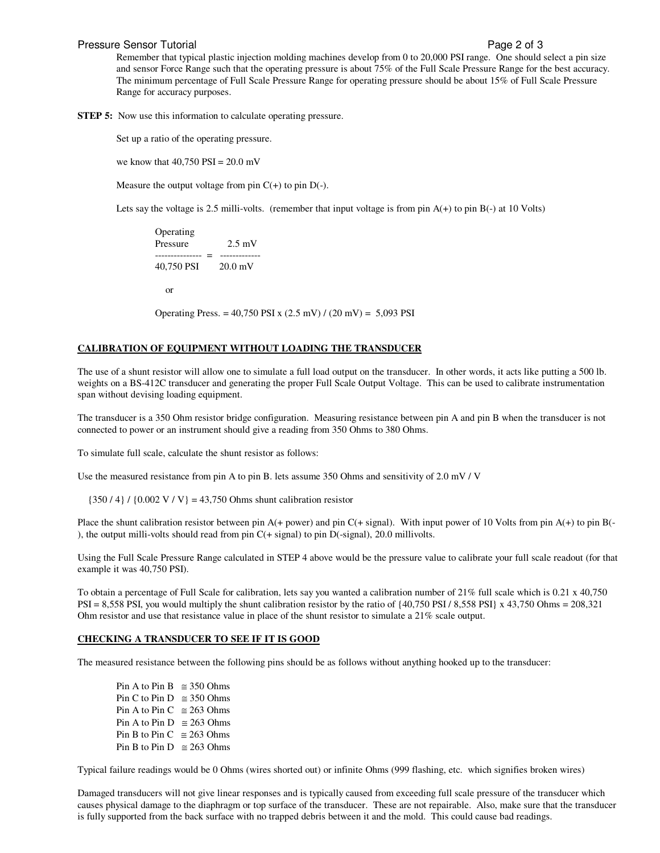### Pressure Sensor Tutorial **Pressure Sensor Tutorial** Page 2 of 3

Remember that typical plastic injection molding machines develop from 0 to 20,000 PSI range. One should select a pin size and sensor Force Range such that the operating pressure is about 75% of the Full Scale Pressure Range for the best accuracy. The minimum percentage of Full Scale Pressure Range for operating pressure should be about 15% of Full Scale Pressure Range for accuracy purposes.

**STEP 5:** Now use this information to calculate operating pressure.

Set up a ratio of the operating pressure.

we know that  $40.750$  PSI =  $20.0$  mV

Measure the output voltage from pin  $C(+)$  to pin  $D(-)$ .

Lets say the voltage is 2.5 milli-volts. (remember that input voltage is from pin  $A(+)$  to pin  $B(-)$  at 10 Volts)

Operating Pressure 2.5 mV --------------- = ------------- 40,750 PSI 20.0 mV or

Operating Press. =  $40,750$  PSI x  $(2.5 \text{ mV}) / (20 \text{ mV}) = 5,093$  PSI

## **CALIBRATION OF EQUIPMENT WITHOUT LOADING THE TRANSDUCER**

The use of a shunt resistor will allow one to simulate a full load output on the transducer. In other words, it acts like putting a 500 lb. weights on a BS-412C transducer and generating the proper Full Scale Output Voltage. This can be used to calibrate instrumentation span without devising loading equipment.

The transducer is a 350 Ohm resistor bridge configuration. Measuring resistance between pin A and pin B when the transducer is not connected to power or an instrument should give a reading from 350 Ohms to 380 Ohms.

To simulate full scale, calculate the shunt resistor as follows:

Use the measured resistance from pin A to pin B. lets assume 350 Ohms and sensitivity of 2.0 mV / V

 ${350 / 4} / {0.002 V / V} = 43,750$  Ohms shunt calibration resistor

Place the shunt calibration resistor between pin  $A(+)$  power) and pin  $C(+)$  signal). With input power of 10 Volts from pin  $A(+)$  to pin B(-), the output milli-volts should read from pin  $C(+$  signal) to pin  $D(-$ signal), 20.0 millivolts.

Using the Full Scale Pressure Range calculated in STEP 4 above would be the pressure value to calibrate your full scale readout (for that example it was 40,750 PSI).

To obtain a percentage of Full Scale for calibration, lets say you wanted a calibration number of 21% full scale which is 0.21 x 40,750  $PSI = 8,558$  PSI, you would multiply the shunt calibration resistor by the ratio of  $\{40,750$  PSI / 8,558 PSI} x 43,750 Ohms = 208,321 Ohm resistor and use that resistance value in place of the shunt resistor to simulate a 21% scale output.

### **CHECKING A TRANSDUCER TO SEE IF IT IS GOOD**

The measured resistance between the following pins should be as follows without anything hooked up to the transducer:

Pin A to Pin B  $\approx 350$  Ohms Pin C to Pin D  $\approx 350$  Ohms Pin A to Pin C  $\approx 263$  Ohms Pin A to Pin D  $\approx 263$  Ohms Pin B to Pin C  $\approx$  263 Ohms Pin B to Pin D  $\approx 263$  Ohms

Typical failure readings would be 0 Ohms (wires shorted out) or infinite Ohms (999 flashing, etc. which signifies broken wires)

Damaged transducers will not give linear responses and is typically caused from exceeding full scale pressure of the transducer which causes physical damage to the diaphragm or top surface of the transducer. These are not repairable. Also, make sure that the transducer is fully supported from the back surface with no trapped debris between it and the mold. This could cause bad readings.